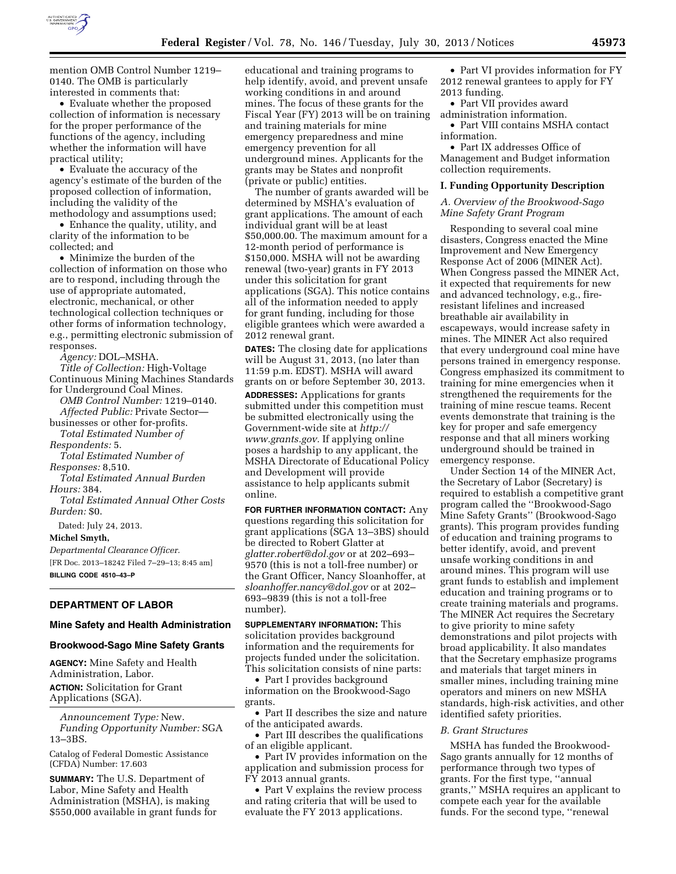

mention OMB Control Number 1219– 0140. The OMB is particularly interested in comments that:

• Evaluate whether the proposed collection of information is necessary for the proper performance of the functions of the agency, including whether the information will have practical utility;

• Evaluate the accuracy of the agency's estimate of the burden of the proposed collection of information, including the validity of the methodology and assumptions used;

• Enhance the quality, utility, and clarity of the information to be collected; and

• Minimize the burden of the collection of information on those who are to respond, including through the use of appropriate automated, electronic, mechanical, or other technological collection techniques or other forms of information technology, e.g., permitting electronic submission of responses.

*Agency:* DOL–MSHA. *Title of Collection:* High-Voltage Continuous Mining Machines Standards for Underground Coal Mines.

*OMB Control Number:* 1219–0140. *Affected Public:* Private Sector—

businesses or other for-profits. *Total Estimated Number of* 

*Respondents:* 5.

*Total Estimated Number of Responses:* 8,510.

*Total Estimated Annual Burden Hours:* 384.

*Total Estimated Annual Other Costs Burden:* \$0.

Dated: July 24, 2013.

**Michel Smyth,** 

*Departmental Clearance Officer.*  [FR Doc. 2013–18242 Filed 7–29–13; 8:45 am] **BILLING CODE 4510–43–P** 

# **DEPARTMENT OF LABOR**

### **Mine Safety and Health Administration**

### **Brookwood-Sago Mine Safety Grants**

**AGENCY:** Mine Safety and Health Administration, Labor. **ACTION:** Solicitation for Grant Applications (SGA).

*Announcement Type:* New. *Funding Opportunity Number:* SGA 13–3BS.

Catalog of Federal Domestic Assistance (CFDA) Number: 17.603

**SUMMARY:** The U.S. Department of Labor, Mine Safety and Health Administration (MSHA), is making \$550,000 available in grant funds for educational and training programs to help identify, avoid, and prevent unsafe working conditions in and around mines. The focus of these grants for the Fiscal Year (FY) 2013 will be on training and training materials for mine emergency preparedness and mine emergency prevention for all underground mines. Applicants for the grants may be States and nonprofit (private or public) entities.

The number of grants awarded will be determined by MSHA's evaluation of grant applications. The amount of each individual grant will be at least \$50,000.00. The maximum amount for a 12-month period of performance is \$150,000. MSHA will not be awarding renewal (two-year) grants in FY 2013 under this solicitation for grant applications (SGA). This notice contains all of the information needed to apply for grant funding, including for those eligible grantees which were awarded a 2012 renewal grant.

**DATES:** The closing date for applications will be August 31, 2013, (no later than 11:59 p.m. EDST). MSHA will award grants on or before September 30, 2013.

**ADDRESSES:** Applications for grants submitted under this competition must be submitted electronically using the Government-wide site at *[http://](http://www.grants.gov) [www.grants.gov.](http://www.grants.gov)* If applying online poses a hardship to any applicant, the MSHA Directorate of Educational Policy and Development will provide assistance to help applicants submit online.

**FOR FURTHER INFORMATION CONTACT:** Any questions regarding this solicitation for grant applications (SGA 13–3BS) should be directed to Robert Glatter at *[glatter.robert@dol.gov](mailto:glatter.robert@dol.gov)* or at 202–693– 9570 (this is not a toll-free number) or the Grant Officer, Nancy Sloanhoffer, at *[sloanhoffer.nancy@dol.gov](mailto:sloanhoffer.nancy@dol.gov)* or at 202– 693–9839 (this is not a toll-free number).

**SUPPLEMENTARY INFORMATION:** This solicitation provides background information and the requirements for projects funded under the solicitation. This solicitation consists of nine parts:

• Part I provides background information on the Brookwood-Sago grants.

• Part II describes the size and nature of the anticipated awards.

• Part III describes the qualifications of an eligible applicant.

• Part IV provides information on the application and submission process for FY 2013 annual grants.

• Part V explains the review process and rating criteria that will be used to evaluate the FY 2013 applications.

• Part VI provides information for FY 2012 renewal grantees to apply for FY 2013 funding.

• Part VII provides award administration information.

• Part VIII contains MSHA contact information.

• Part IX addresses Office of Management and Budget information collection requirements.

### **I. Funding Opportunity Description**

*A. Overview of the Brookwood-Sago Mine Safety Grant Program* 

Responding to several coal mine disasters, Congress enacted the Mine Improvement and New Emergency Response Act of 2006 (MINER Act). When Congress passed the MINER Act, it expected that requirements for new and advanced technology, e.g., fireresistant lifelines and increased breathable air availability in escapeways, would increase safety in mines. The MINER Act also required that every underground coal mine have persons trained in emergency response. Congress emphasized its commitment to training for mine emergencies when it strengthened the requirements for the training of mine rescue teams. Recent events demonstrate that training is the key for proper and safe emergency response and that all miners working underground should be trained in emergency response.

Under Section 14 of the MINER Act, the Secretary of Labor (Secretary) is required to establish a competitive grant program called the ''Brookwood-Sago Mine Safety Grants'' (Brookwood-Sago grants). This program provides funding of education and training programs to better identify, avoid, and prevent unsafe working conditions in and around mines. This program will use grant funds to establish and implement education and training programs or to create training materials and programs. The MINER Act requires the Secretary to give priority to mine safety demonstrations and pilot projects with broad applicability. It also mandates that the Secretary emphasize programs and materials that target miners in smaller mines, including training mine operators and miners on new MSHA standards, high-risk activities, and other identified safety priorities.

### *B. Grant Structures*

MSHA has funded the Brookwood-Sago grants annually for 12 months of performance through two types of grants. For the first type, ''annual grants,'' MSHA requires an applicant to compete each year for the available funds. For the second type, ''renewal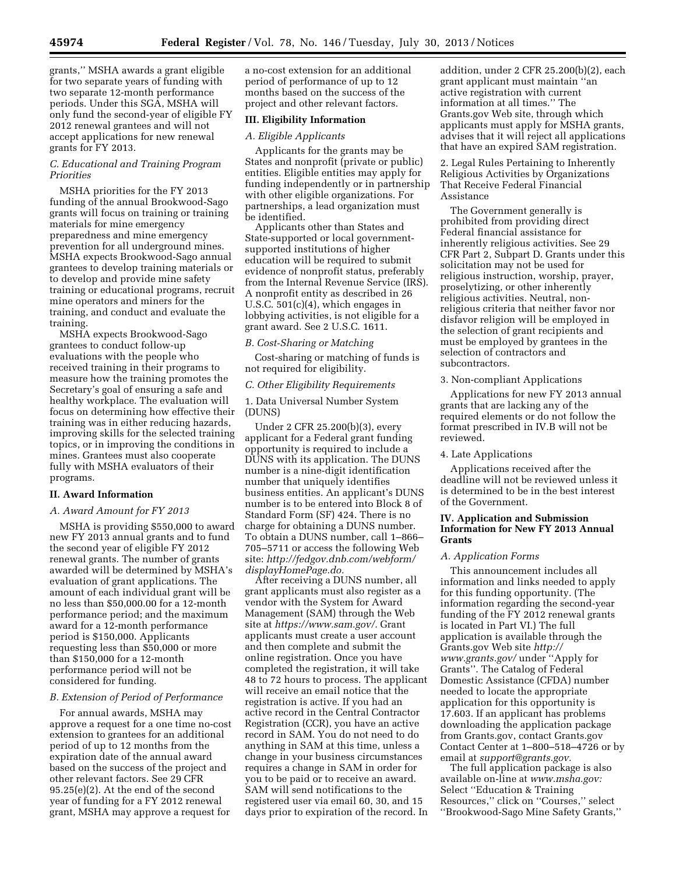grants,'' MSHA awards a grant eligible for two separate years of funding with two separate 12-month performance periods. Under this SGA, MSHA will only fund the second-year of eligible FY 2012 renewal grantees and will not accept applications for new renewal grants for FY 2013.

# *C. Educational and Training Program Priorities*

MSHA priorities for the FY 2013 funding of the annual Brookwood-Sago grants will focus on training or training materials for mine emergency preparedness and mine emergency prevention for all underground mines. MSHA expects Brookwood-Sago annual grantees to develop training materials or to develop and provide mine safety training or educational programs, recruit mine operators and miners for the training, and conduct and evaluate the training.

MSHA expects Brookwood-Sago grantees to conduct follow-up evaluations with the people who received training in their programs to measure how the training promotes the Secretary's goal of ensuring a safe and healthy workplace. The evaluation will focus on determining how effective their training was in either reducing hazards, improving skills for the selected training topics, or in improving the conditions in mines. Grantees must also cooperate fully with MSHA evaluators of their programs.

### **II. Award Information**

### *A. Award Amount for FY 2013*

MSHA is providing \$550,000 to award new FY 2013 annual grants and to fund the second year of eligible FY 2012 renewal grants. The number of grants awarded will be determined by MSHA's evaluation of grant applications. The amount of each individual grant will be no less than \$50,000.00 for a 12-month performance period; and the maximum award for a 12-month performance period is \$150,000. Applicants requesting less than \$50,000 or more than \$150,000 for a 12-month performance period will not be considered for funding.

### *B. Extension of Period of Performance*

For annual awards, MSHA may approve a request for a one time no-cost extension to grantees for an additional period of up to 12 months from the expiration date of the annual award based on the success of the project and other relevant factors. See 29 CFR 95.25(e)(2). At the end of the second year of funding for a FY 2012 renewal grant, MSHA may approve a request for

a no-cost extension for an additional period of performance of up to 12 months based on the success of the project and other relevant factors.

# **III. Eligibility Information**

#### *A. Eligible Applicants*

Applicants for the grants may be States and nonprofit (private or public) entities. Eligible entities may apply for funding independently or in partnership with other eligible organizations. For partnerships, a lead organization must be identified.

Applicants other than States and State-supported or local governmentsupported institutions of higher education will be required to submit evidence of nonprofit status, preferably from the Internal Revenue Service (IRS). A nonprofit entity as described in 26 U.S.C. 501(c)(4), which engages in lobbying activities, is not eligible for a grant award. See 2 U.S.C. 1611.

#### *B. Cost-Sharing or Matching*

Cost-sharing or matching of funds is not required for eligibility.

#### *C. Other Eligibility Requirements*

1. Data Universal Number System (DUNS)

Under 2 CFR 25.200(b)(3), every applicant for a Federal grant funding opportunity is required to include a DUNS with its application. The DUNS number is a nine-digit identification number that uniquely identifies business entities. An applicant's DUNS number is to be entered into Block 8 of Standard Form (SF) 424. There is no charge for obtaining a DUNS number. To obtain a DUNS number, call 1–866– 705–5711 or access the following Web site: *[http://fedgov.dnb.com/webform/](http://fedgov.dnb.com/webform/displayHomePage.do) [displayHomePage.do.](http://fedgov.dnb.com/webform/displayHomePage.do)* 

After receiving a DUNS number, all grant applicants must also register as a vendor with the System for Award Management (SAM) through the Web site at *[https://www.sam.gov/.](https://www.sam.gov/)* Grant applicants must create a user account and then complete and submit the online registration. Once you have completed the registration, it will take 48 to 72 hours to process. The applicant will receive an email notice that the registration is active. If you had an active record in the Central Contractor Registration (CCR), you have an active record in SAM. You do not need to do anything in SAM at this time, unless a change in your business circumstances requires a change in SAM in order for you to be paid or to receive an award. SAM will send notifications to the registered user via email 60, 30, and 15 days prior to expiration of the record. In

addition, under 2 CFR 25.200(b)(2), each grant applicant must maintain ''an active registration with current information at all times.'' The Grants.gov Web site, through which applicants must apply for MSHA grants, advises that it will reject all applications that have an expired SAM registration.

2. Legal Rules Pertaining to Inherently Religious Activities by Organizations That Receive Federal Financial Assistance

The Government generally is prohibited from providing direct Federal financial assistance for inherently religious activities. See 29 CFR Part 2, Subpart D. Grants under this solicitation may not be used for religious instruction, worship, prayer, proselytizing, or other inherently religious activities. Neutral, nonreligious criteria that neither favor nor disfavor religion will be employed in the selection of grant recipients and must be employed by grantees in the selection of contractors and subcontractors.

### 3. Non-compliant Applications

Applications for new FY 2013 annual grants that are lacking any of the required elements or do not follow the format prescribed in IV.B will not be reviewed.

### 4. Late Applications

Applications received after the deadline will not be reviewed unless it is determined to be in the best interest of the Government.

## **IV. Application and Submission Information for New FY 2013 Annual Grants**

#### *A. Application Forms*

This announcement includes all information and links needed to apply for this funding opportunity. (The information regarding the second-year funding of the FY 2012 renewal grants is located in Part VI.) The full application is available through the Grants.gov Web site *[http://](http://www.grants.gov/)  [www.grants.gov/](http://www.grants.gov/)* under ''Apply for Grants''. The Catalog of Federal Domestic Assistance (CFDA) number needed to locate the appropriate application for this opportunity is 17.603. If an applicant has problems downloading the application package from Grants.gov, contact Grants.gov Contact Center at 1–800–518–4726 or by email at *[support@grants.gov.](mailto:support@grants.gov)* 

The full application package is also available on-line at *[www.msha.gov:](http://www.msha.gov)*  Select ''Education & Training Resources,'' click on ''Courses,'' select ''Brookwood-Sago Mine Safety Grants,''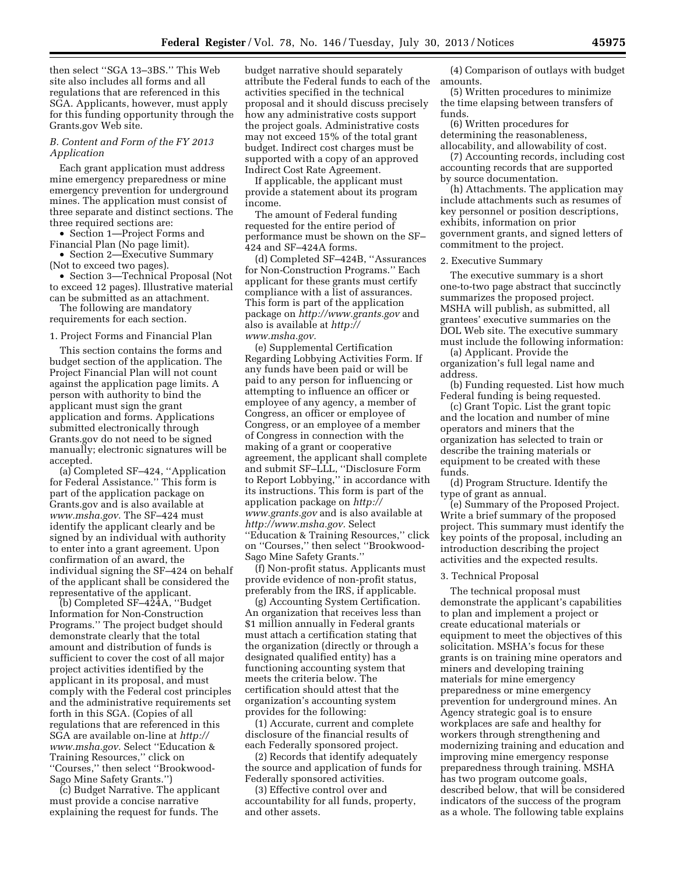then select ''SGA 13–3BS.'' This Web site also includes all forms and all regulations that are referenced in this SGA. Applicants, however, must apply for this funding opportunity through the Grants.gov Web site.

## *B. Content and Form of the FY 2013 Application*

Each grant application must address mine emergency preparedness or mine emergency prevention for underground mines. The application must consist of three separate and distinct sections. The three required sections are:

• Section 1—Project Forms and Financial Plan (No page limit).

• Section 2—Executive Summary (Not to exceed two pages).

• Section 3—Technical Proposal (Not to exceed 12 pages). Illustrative material can be submitted as an attachment.

The following are mandatory requirements for each section.

### 1. Project Forms and Financial Plan

This section contains the forms and budget section of the application. The Project Financial Plan will not count against the application page limits. A person with authority to bind the applicant must sign the grant application and forms. Applications submitted electronically through Grants.gov do not need to be signed manually; electronic signatures will be accepted.

(a) Completed SF–424, ''Application for Federal Assistance.'' This form is part of the application package on Grants.gov and is also available at *[www.msha.gov.](http://www.msha.gov)* The SF–424 must identify the applicant clearly and be signed by an individual with authority to enter into a grant agreement. Upon confirmation of an award, the individual signing the SF–424 on behalf of the applicant shall be considered the representative of the applicant.

(b) Completed SF–424A, ''Budget Information for Non-Construction Programs.'' The project budget should demonstrate clearly that the total amount and distribution of funds is sufficient to cover the cost of all major project activities identified by the applicant in its proposal, and must comply with the Federal cost principles and the administrative requirements set forth in this SGA. (Copies of all regulations that are referenced in this SGA are available on-line at *[http://](http://www.msha.gov) [www.msha.gov.](http://www.msha.gov)* Select ''Education & Training Resources,'' click on ''Courses,'' then select ''Brookwood-Sago Mine Safety Grants.'')

(c) Budget Narrative. The applicant must provide a concise narrative explaining the request for funds. The

budget narrative should separately attribute the Federal funds to each of the activities specified in the technical proposal and it should discuss precisely how any administrative costs support the project goals. Administrative costs may not exceed 15% of the total grant budget. Indirect cost charges must be supported with a copy of an approved Indirect Cost Rate Agreement.

If applicable, the applicant must provide a statement about its program income.

The amount of Federal funding requested for the entire period of performance must be shown on the SF– 424 and SF–424A forms.

(d) Completed SF–424B, ''Assurances for Non-Construction Programs.'' Each applicant for these grants must certify compliance with a list of assurances. This form is part of the application package on *<http://www.grants.gov>* and also is available at *[http://](http://www.msha.gov) [www.msha.gov.](http://www.msha.gov)* 

(e) Supplemental Certification Regarding Lobbying Activities Form. If any funds have been paid or will be paid to any person for influencing or attempting to influence an officer or employee of any agency, a member of Congress, an officer or employee of Congress, or an employee of a member of Congress in connection with the making of a grant or cooperative agreement, the applicant shall complete and submit SF–LLL, ''Disclosure Form to Report Lobbying,'' in accordance with its instructions. This form is part of the application package on *[http://](http://www.grants.gov) [www.grants.gov](http://www.grants.gov)* and is also available at *[http://www.msha.gov.](http://www.msha.gov)* Select ''Education & Training Resources,'' click on ''Courses,'' then select ''Brookwood-Sago Mine Safety Grants.''

(f) Non-profit status. Applicants must provide evidence of non-profit status, preferably from the IRS, if applicable.

(g) Accounting System Certification. An organization that receives less than \$1 million annually in Federal grants must attach a certification stating that the organization (directly or through a designated qualified entity) has a functioning accounting system that meets the criteria below. The certification should attest that the organization's accounting system provides for the following:

(1) Accurate, current and complete disclosure of the financial results of each Federally sponsored project.

(2) Records that identify adequately the source and application of funds for Federally sponsored activities.

(3) Effective control over and accountability for all funds, property, and other assets.

(4) Comparison of outlays with budget amounts.

(5) Written procedures to minimize the time elapsing between transfers of funds.

(6) Written procedures for determining the reasonableness, allocability, and allowability of cost.

(7) Accounting records, including cost accounting records that are supported by source documentation.

(h) Attachments. The application may include attachments such as resumes of key personnel or position descriptions, exhibits, information on prior government grants, and signed letters of commitment to the project.

#### 2. Executive Summary

The executive summary is a short one-to-two page abstract that succinctly summarizes the proposed project. MSHA will publish, as submitted, all grantees' executive summaries on the DOL Web site. The executive summary must include the following information:

(a) Applicant. Provide the organization's full legal name and address.

(b) Funding requested. List how much Federal funding is being requested.

(c) Grant Topic. List the grant topic and the location and number of mine operators and miners that the organization has selected to train or describe the training materials or equipment to be created with these funds.

(d) Program Structure. Identify the type of grant as annual.

(e) Summary of the Proposed Project. Write a brief summary of the proposed project. This summary must identify the key points of the proposal, including an introduction describing the project activities and the expected results.

#### 3. Technical Proposal

The technical proposal must demonstrate the applicant's capabilities to plan and implement a project or create educational materials or equipment to meet the objectives of this solicitation. MSHA's focus for these grants is on training mine operators and miners and developing training materials for mine emergency preparedness or mine emergency prevention for underground mines. An Agency strategic goal is to ensure workplaces are safe and healthy for workers through strengthening and modernizing training and education and improving mine emergency response preparedness through training. MSHA has two program outcome goals, described below, that will be considered indicators of the success of the program as a whole. The following table explains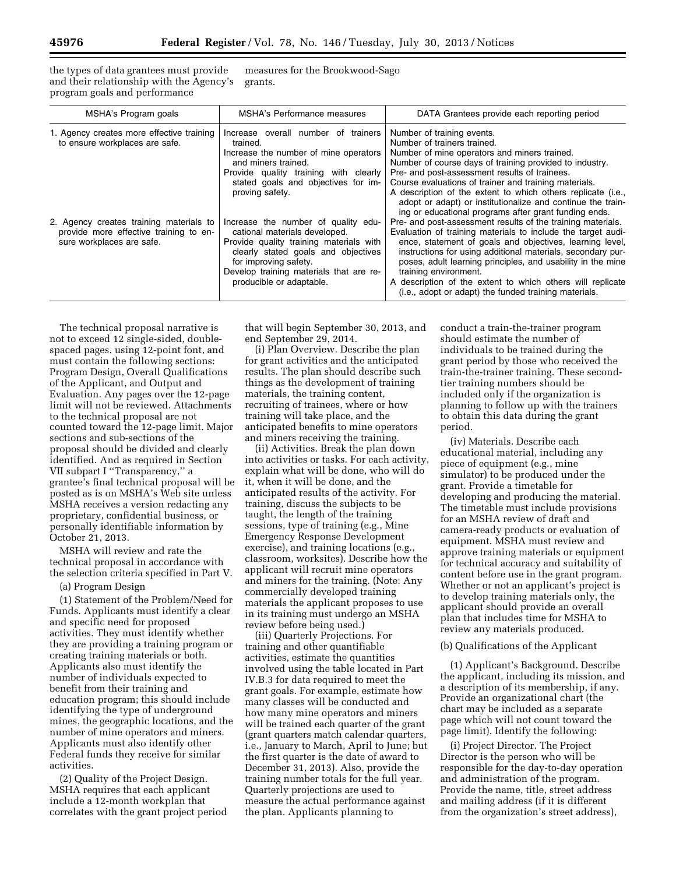the types of data grantees must provide and their relationship with the Agency's program goals and performance

measures for the Brookwood-Sago grants.

| MSHA's Program goals                                                                                           | MSHA's Performance measures                                                                                                                                                                                                                            | DATA Grantees provide each reporting period                                                                                                                                                                                                                                                                                                                                                                                                                            |
|----------------------------------------------------------------------------------------------------------------|--------------------------------------------------------------------------------------------------------------------------------------------------------------------------------------------------------------------------------------------------------|------------------------------------------------------------------------------------------------------------------------------------------------------------------------------------------------------------------------------------------------------------------------------------------------------------------------------------------------------------------------------------------------------------------------------------------------------------------------|
| 1. Agency creates more effective training<br>to ensure workplaces are safe.                                    | Increase overall number of trainers<br>trained.<br>Increase the number of mine operators<br>and miners trained.<br>Provide quality training with clearly<br>stated goals and objectives for im-<br>proving safety.                                     | Number of training events.<br>Number of trainers trained.<br>Number of mine operators and miners trained.<br>Number of course days of training provided to industry.<br>Pre- and post-assessment results of trainees.<br>Course evaluations of trainer and training materials.<br>A description of the extent to which others replicate (i.e.,<br>adopt or adapt) or institutionalize and continue the train-<br>ing or educational programs after grant funding ends. |
| 2. Agency creates training materials to<br>provide more effective training to en-<br>sure workplaces are safe. | Increase the number of quality edu-<br>cational materials developed.<br>Provide quality training materials with<br>clearly stated goals and objectives<br>for improving safety.<br>Develop training materials that are re-<br>producible or adaptable. | Pre- and post-assessment results of the training materials.<br>Evaluation of training materials to include the target audi-<br>ence, statement of goals and objectives, learning level,<br>instructions for using additional materials, secondary pur-<br>poses, adult learning principles, and usability in the mine<br>training environment.<br>A description of the extent to which others will replicate<br>(i.e., adopt or adapt) the funded training materials.  |

The technical proposal narrative is not to exceed 12 single-sided, doublespaced pages, using 12-point font, and must contain the following sections: Program Design, Overall Qualifications of the Applicant, and Output and Evaluation. Any pages over the 12-page limit will not be reviewed. Attachments to the technical proposal are not counted toward the 12-page limit. Major sections and sub-sections of the proposal should be divided and clearly identified. And as required in Section VII subpart I ''Transparency,'' a grantee's final technical proposal will be posted as is on MSHA's Web site unless MSHA receives a version redacting any proprietary, confidential business, or personally identifiable information by October 21, 2013.

MSHA will review and rate the technical proposal in accordance with the selection criteria specified in Part V.

(a) Program Design

(1) Statement of the Problem/Need for Funds. Applicants must identify a clear and specific need for proposed activities. They must identify whether they are providing a training program or creating training materials or both. Applicants also must identify the number of individuals expected to benefit from their training and education program; this should include identifying the type of underground mines, the geographic locations, and the number of mine operators and miners. Applicants must also identify other Federal funds they receive for similar activities.

(2) Quality of the Project Design. MSHA requires that each applicant include a 12-month workplan that correlates with the grant project period that will begin September 30, 2013, and end September 29, 2014.

(i) Plan Overview. Describe the plan for grant activities and the anticipated results. The plan should describe such things as the development of training materials, the training content, recruiting of trainees, where or how training will take place, and the anticipated benefits to mine operators and miners receiving the training.

(ii) Activities. Break the plan down into activities or tasks. For each activity, explain what will be done, who will do it, when it will be done, and the anticipated results of the activity. For training, discuss the subjects to be taught, the length of the training sessions, type of training (e.g., Mine Emergency Response Development exercise), and training locations (e.g., classroom, worksites). Describe how the applicant will recruit mine operators and miners for the training. (Note: Any commercially developed training materials the applicant proposes to use in its training must undergo an MSHA review before being used.)

(iii) Quarterly Projections. For training and other quantifiable activities, estimate the quantities involved using the table located in Part IV.B.3 for data required to meet the grant goals. For example, estimate how many classes will be conducted and how many mine operators and miners will be trained each quarter of the grant (grant quarters match calendar quarters, i.e., January to March, April to June; but the first quarter is the date of award to December 31, 2013). Also, provide the training number totals for the full year. Quarterly projections are used to measure the actual performance against the plan. Applicants planning to

conduct a train-the-trainer program should estimate the number of individuals to be trained during the grant period by those who received the train-the-trainer training. These secondtier training numbers should be included only if the organization is planning to follow up with the trainers to obtain this data during the grant period.

(iv) Materials. Describe each educational material, including any piece of equipment (e.g., mine simulator) to be produced under the grant. Provide a timetable for developing and producing the material. The timetable must include provisions for an MSHA review of draft and camera-ready products or evaluation of equipment. MSHA must review and approve training materials or equipment for technical accuracy and suitability of content before use in the grant program. Whether or not an applicant's project is to develop training materials only, the applicant should provide an overall plan that includes time for MSHA to review any materials produced.

### (b) Qualifications of the Applicant

(1) Applicant's Background. Describe the applicant, including its mission, and a description of its membership, if any. Provide an organizational chart (the chart may be included as a separate page which will not count toward the page limit). Identify the following:

(i) Project Director. The Project Director is the person who will be responsible for the day-to-day operation and administration of the program. Provide the name, title, street address and mailing address (if it is different from the organization's street address),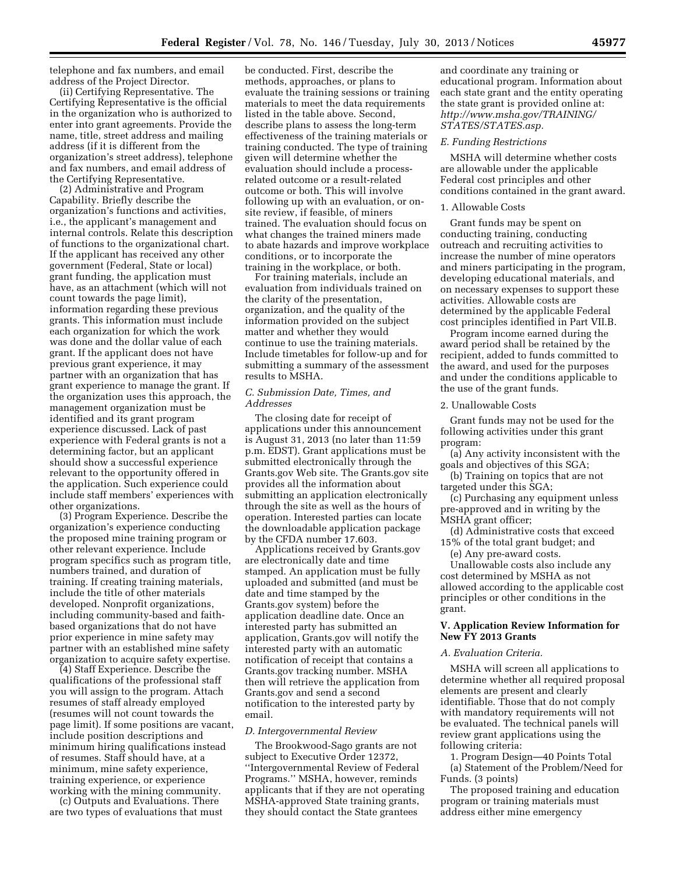telephone and fax numbers, and email address of the Project Director.

(ii) Certifying Representative. The Certifying Representative is the official in the organization who is authorized to enter into grant agreements. Provide the name, title, street address and mailing address (if it is different from the organization's street address), telephone and fax numbers, and email address of the Certifying Representative.

(2) Administrative and Program Capability. Briefly describe the organization's functions and activities, i.e., the applicant's management and internal controls. Relate this description of functions to the organizational chart. If the applicant has received any other government (Federal, State or local) grant funding, the application must have, as an attachment (which will not count towards the page limit), information regarding these previous grants. This information must include each organization for which the work was done and the dollar value of each grant. If the applicant does not have previous grant experience, it may partner with an organization that has grant experience to manage the grant. If the organization uses this approach, the management organization must be identified and its grant program experience discussed. Lack of past experience with Federal grants is not a determining factor, but an applicant should show a successful experience relevant to the opportunity offered in the application. Such experience could include staff members' experiences with other organizations.

(3) Program Experience. Describe the organization's experience conducting the proposed mine training program or other relevant experience. Include program specifics such as program title, numbers trained, and duration of training. If creating training materials, include the title of other materials developed. Nonprofit organizations, including community-based and faithbased organizations that do not have prior experience in mine safety may partner with an established mine safety organization to acquire safety expertise.

(4) Staff Experience. Describe the qualifications of the professional staff you will assign to the program. Attach resumes of staff already employed (resumes will not count towards the page limit). If some positions are vacant, include position descriptions and minimum hiring qualifications instead of resumes. Staff should have, at a minimum, mine safety experience, training experience, or experience working with the mining community.

(c) Outputs and Evaluations. There are two types of evaluations that must

be conducted. First, describe the methods, approaches, or plans to evaluate the training sessions or training materials to meet the data requirements listed in the table above. Second, describe plans to assess the long-term effectiveness of the training materials or training conducted. The type of training given will determine whether the evaluation should include a processrelated outcome or a result-related outcome or both. This will involve following up with an evaluation, or onsite review, if feasible, of miners trained. The evaluation should focus on what changes the trained miners made to abate hazards and improve workplace conditions, or to incorporate the training in the workplace, or both.

For training materials, include an evaluation from individuals trained on the clarity of the presentation, organization, and the quality of the information provided on the subject matter and whether they would continue to use the training materials. Include timetables for follow-up and for submitting a summary of the assessment results to MSHA.

### *C. Submission Date, Times, and Addresses*

The closing date for receipt of applications under this announcement is August 31, 2013 (no later than 11:59 p.m. EDST). Grant applications must be submitted electronically through the Grants.gov Web site. The Grants.gov site provides all the information about submitting an application electronically through the site as well as the hours of operation. Interested parties can locate the downloadable application package by the CFDA number 17.603.

Applications received by Grants.gov are electronically date and time stamped. An application must be fully uploaded and submitted (and must be date and time stamped by the Grants.gov system) before the application deadline date. Once an interested party has submitted an application, Grants.gov will notify the interested party with an automatic notification of receipt that contains a Grants.gov tracking number. MSHA then will retrieve the application from Grants.gov and send a second notification to the interested party by email.

# *D. Intergovernmental Review*

The Brookwood-Sago grants are not subject to Executive Order 12372, ''Intergovernmental Review of Federal Programs.'' MSHA, however, reminds applicants that if they are not operating MSHA-approved State training grants, they should contact the State grantees

and coordinate any training or educational program. Information about each state grant and the entity operating the state grant is provided online at: *[http://www.msha.gov/TRAINING/](http://www.msha.gov/TRAINING/STATES/STATES.asp) [STATES/STATES.asp.](http://www.msha.gov/TRAINING/STATES/STATES.asp)* 

#### *E. Funding Restrictions*

MSHA will determine whether costs are allowable under the applicable Federal cost principles and other conditions contained in the grant award.

#### 1. Allowable Costs

Grant funds may be spent on conducting training, conducting outreach and recruiting activities to increase the number of mine operators and miners participating in the program, developing educational materials, and on necessary expenses to support these activities. Allowable costs are determined by the applicable Federal cost principles identified in Part VII.B.

Program income earned during the award period shall be retained by the recipient, added to funds committed to the award, and used for the purposes and under the conditions applicable to the use of the grant funds.

# 2. Unallowable Costs

Grant funds may not be used for the following activities under this grant program:

- (a) Any activity inconsistent with the goals and objectives of this SGA;
- (b) Training on topics that are not targeted under this SGA;

(c) Purchasing any equipment unless pre-approved and in writing by the MSHA grant officer;

(d) Administrative costs that exceed 15% of the total grant budget; and

(e) Any pre-award costs.

Unallowable costs also include any cost determined by MSHA as not allowed according to the applicable cost principles or other conditions in the grant.

# **V. Application Review Information for New FY 2013 Grants**

## *A. Evaluation Criteria.*

MSHA will screen all applications to determine whether all required proposal elements are present and clearly identifiable. Those that do not comply with mandatory requirements will not be evaluated. The technical panels will review grant applications using the following criteria:

1. Program Design—40 Points Total (a) Statement of the Problem/Need for Funds. (3 points)

The proposed training and education program or training materials must address either mine emergency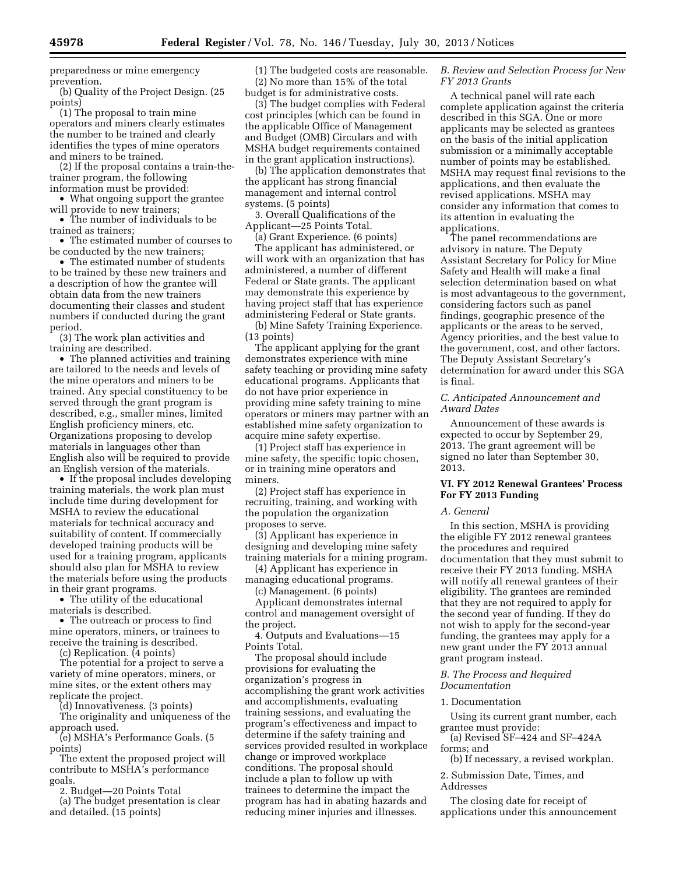preparedness or mine emergency prevention.

(b) Quality of the Project Design. (25 points)

(1) The proposal to train mine operators and miners clearly estimates the number to be trained and clearly identifies the types of mine operators and miners to be trained.

(2) If the proposal contains a train-thetrainer program, the following information must be provided:

• What ongoing support the grantee will provide to new trainers;

• The number of individuals to be trained as trainers;

• The estimated number of courses to be conducted by the new trainers;

• The estimated number of students to be trained by these new trainers and a description of how the grantee will obtain data from the new trainers documenting their classes and student numbers if conducted during the grant period.

(3) The work plan activities and training are described.

• The planned activities and training are tailored to the needs and levels of the mine operators and miners to be trained. Any special constituency to be served through the grant program is described, e.g., smaller mines, limited English proficiency miners, etc. Organizations proposing to develop materials in languages other than English also will be required to provide an English version of the materials.

• If the proposal includes developing training materials, the work plan must include time during development for MSHA to review the educational materials for technical accuracy and suitability of content. If commercially developed training products will be used for a training program, applicants should also plan for MSHA to review the materials before using the products in their grant programs.

• The utility of the educational materials is described.

• The outreach or process to find mine operators, miners, or trainees to receive the training is described.

(c) Replication. (4 points)

The potential for a project to serve a variety of mine operators, miners, or mine sites, or the extent others may replicate the project.

(d) Innovativeness. (3 points)

The originality and uniqueness of the approach used.

(e) MSHA's Performance Goals. (5 points)

The extent the proposed project will contribute to MSHA's performance goals.

2. Budget—20 Points Total

(a) The budget presentation is clear and detailed. (15 points)

(1) The budgeted costs are reasonable. (2) No more than 15% of the total budget is for administrative costs.

(3) The budget complies with Federal cost principles (which can be found in the applicable Office of Management and Budget (OMB) Circulars and with MSHA budget requirements contained in the grant application instructions).

(b) The application demonstrates that the applicant has strong financial management and internal control systems. (5 points)

3. Overall Qualifications of the Applicant—25 Points Total.

(a) Grant Experience. (6 points) The applicant has administered, or will work with an organization that has administered, a number of different Federal or State grants. The applicant may demonstrate this experience by having project staff that has experience administering Federal or State grants.

(b) Mine Safety Training Experience. (13 points)

The applicant applying for the grant demonstrates experience with mine safety teaching or providing mine safety educational programs. Applicants that do not have prior experience in providing mine safety training to mine operators or miners may partner with an established mine safety organization to acquire mine safety expertise.

(1) Project staff has experience in mine safety, the specific topic chosen, or in training mine operators and miners.

(2) Project staff has experience in recruiting, training, and working with the population the organization proposes to serve.

(3) Applicant has experience in designing and developing mine safety training materials for a mining program.

(4) Applicant has experience in managing educational programs.

(c) Management. (6 points)

Applicant demonstrates internal control and management oversight of the project.

4. Outputs and Evaluations—15 Points Total.

The proposal should include provisions for evaluating the organization's progress in accomplishing the grant work activities and accomplishments, evaluating training sessions, and evaluating the program's effectiveness and impact to determine if the safety training and services provided resulted in workplace change or improved workplace conditions. The proposal should include a plan to follow up with trainees to determine the impact the program has had in abating hazards and reducing miner injuries and illnesses.

### *B. Review and Selection Process for New FY 2013 Grants*

A technical panel will rate each complete application against the criteria described in this SGA. One or more applicants may be selected as grantees on the basis of the initial application submission or a minimally acceptable number of points may be established. MSHA may request final revisions to the applications, and then evaluate the revised applications. MSHA may consider any information that comes to its attention in evaluating the applications.

The panel recommendations are advisory in nature. The Deputy Assistant Secretary for Policy for Mine Safety and Health will make a final selection determination based on what is most advantageous to the government, considering factors such as panel findings, geographic presence of the applicants or the areas to be served, Agency priorities, and the best value to the government, cost, and other factors. The Deputy Assistant Secretary's determination for award under this SGA is final.

### *C. Anticipated Announcement and Award Dates*

Announcement of these awards is expected to occur by September 29, 2013. The grant agreement will be signed no later than September 30, 2013.

# **VI. FY 2012 Renewal Grantees' Process For FY 2013 Funding**

### *A. General*

In this section, MSHA is providing the eligible FY 2012 renewal grantees the procedures and required documentation that they must submit to receive their FY 2013 funding. MSHA will notify all renewal grantees of their eligibility. The grantees are reminded that they are not required to apply for the second year of funding. If they do not wish to apply for the second-year funding, the grantees may apply for a new grant under the FY 2013 annual grant program instead.

### *B. The Process and Required Documentation*

### 1. Documentation

Using its current grant number, each grantee must provide:

(a) Revised SF–424 and SF–424A forms; and

(b) If necessary, a revised workplan.

2. Submission Date, Times, and Addresses

The closing date for receipt of applications under this announcement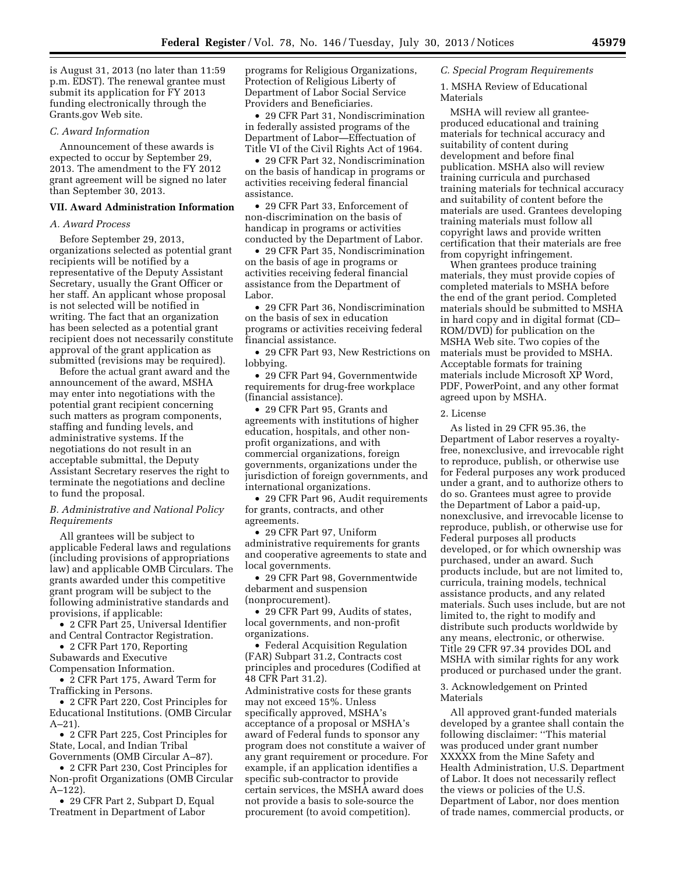is August 31, 2013 (no later than 11:59 p.m. EDST). The renewal grantee must submit its application for FY 2013 funding electronically through the Grants.gov Web site.

### *C. Award Information*

Announcement of these awards is expected to occur by September 29, 2013. The amendment to the FY 2012 grant agreement will be signed no later than September 30, 2013.

### **VII. Award Administration Information**

### *A. Award Process*

Before September 29, 2013, organizations selected as potential grant recipients will be notified by a representative of the Deputy Assistant Secretary, usually the Grant Officer or her staff. An applicant whose proposal is not selected will be notified in writing. The fact that an organization has been selected as a potential grant recipient does not necessarily constitute approval of the grant application as submitted (revisions may be required).

Before the actual grant award and the announcement of the award, MSHA may enter into negotiations with the potential grant recipient concerning such matters as program components, staffing and funding levels, and administrative systems. If the negotiations do not result in an acceptable submittal, the Deputy Assistant Secretary reserves the right to terminate the negotiations and decline to fund the proposal.

## *B. Administrative and National Policy Requirements*

All grantees will be subject to applicable Federal laws and regulations (including provisions of appropriations law) and applicable OMB Circulars. The grants awarded under this competitive grant program will be subject to the following administrative standards and provisions, if applicable:

• 2 CFR Part 25, Universal Identifier and Central Contractor Registration.

• 2 CFR Part 170, Reporting

Subawards and Executive

Compensation Information. • 2 CFR Part 175, Award Term for

Trafficking in Persons.

• 2 CFR Part 220, Cost Principles for Educational Institutions. (OMB Circular A–21).

• 2 CFR Part 225, Cost Principles for State, Local, and Indian Tribal Governments (OMB Circular A–87).

• 2 CFR Part 230, Cost Principles for Non-profit Organizations (OMB Circular A–122).

• 29 CFR Part 2, Subpart D, Equal Treatment in Department of Labor

programs for Religious Organizations, Protection of Religious Liberty of Department of Labor Social Service Providers and Beneficiaries.

• 29 CFR Part 31, Nondiscrimination in federally assisted programs of the Department of Labor—Effectuation of Title VI of the Civil Rights Act of 1964.

• 29 CFR Part 32, Nondiscrimination on the basis of handicap in programs or activities receiving federal financial assistance.

• 29 CFR Part 33, Enforcement of non-discrimination on the basis of handicap in programs or activities conducted by the Department of Labor.

• 29 CFR Part 35, Nondiscrimination on the basis of age in programs or activities receiving federal financial assistance from the Department of Labor.

• 29 CFR Part 36, Nondiscrimination on the basis of sex in education programs or activities receiving federal financial assistance.

• 29 CFR Part 93, New Restrictions on lobbying.

• 29 CFR Part 94, Governmentwide requirements for drug-free workplace (financial assistance).

• 29 CFR Part 95, Grants and agreements with institutions of higher education, hospitals, and other nonprofit organizations, and with commercial organizations, foreign governments, organizations under the jurisdiction of foreign governments, and international organizations.

• 29 CFR Part 96, Audit requirements for grants, contracts, and other agreements.

• 29 CFR Part 97, Uniform administrative requirements for grants and cooperative agreements to state and local governments.

• 29 CFR Part 98, Governmentwide debarment and suspension (nonprocurement).

• 29 CFR Part 99, Audits of states, local governments, and non-profit organizations.

• Federal Acquisition Regulation (FAR) Subpart 31.2, Contracts cost principles and procedures (Codified at 48 CFR Part 31.2).

Administrative costs for these grants may not exceed 15%. Unless specifically approved, MSHA's acceptance of a proposal or MSHA's award of Federal funds to sponsor any program does not constitute a waiver of any grant requirement or procedure. For example, if an application identifies a specific sub-contractor to provide certain services, the MSHA award does not provide a basis to sole-source the procurement (to avoid competition).

#### *C. Special Program Requirements*

1. MSHA Review of Educational Materials

MSHA will review all granteeproduced educational and training materials for technical accuracy and suitability of content during development and before final publication. MSHA also will review training curricula and purchased training materials for technical accuracy and suitability of content before the materials are used. Grantees developing training materials must follow all copyright laws and provide written certification that their materials are free from copyright infringement.

When grantees produce training materials, they must provide copies of completed materials to MSHA before the end of the grant period. Completed materials should be submitted to MSHA in hard copy and in digital format (CD– ROM/DVD) for publication on the MSHA Web site. Two copies of the materials must be provided to MSHA. Acceptable formats for training materials include Microsoft XP Word, PDF, PowerPoint, and any other format agreed upon by MSHA.

### 2. License

As listed in 29 CFR 95.36, the Department of Labor reserves a royaltyfree, nonexclusive, and irrevocable right to reproduce, publish, or otherwise use for Federal purposes any work produced under a grant, and to authorize others to do so. Grantees must agree to provide the Department of Labor a paid-up, nonexclusive, and irrevocable license to reproduce, publish, or otherwise use for Federal purposes all products developed, or for which ownership was purchased, under an award. Such products include, but are not limited to, curricula, training models, technical assistance products, and any related materials. Such uses include, but are not limited to, the right to modify and distribute such products worldwide by any means, electronic, or otherwise. Title 29 CFR 97.34 provides DOL and MSHA with similar rights for any work produced or purchased under the grant.

### 3. Acknowledgement on Printed Materials

All approved grant-funded materials developed by a grantee shall contain the following disclaimer: ''This material was produced under grant number XXXXX from the Mine Safety and Health Administration, U.S. Department of Labor. It does not necessarily reflect the views or policies of the U.S. Department of Labor, nor does mention of trade names, commercial products, or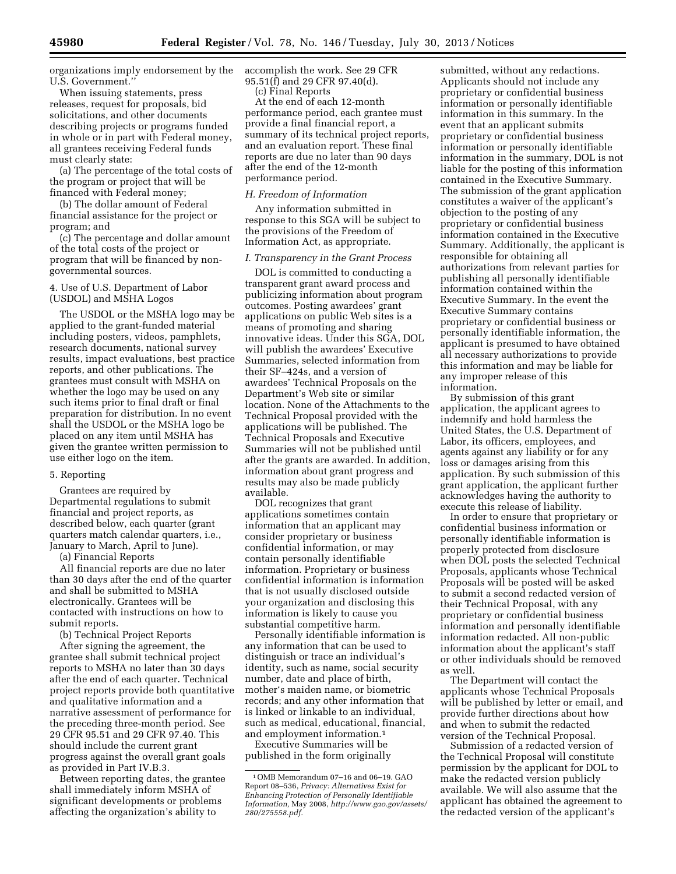organizations imply endorsement by the U.S. Government.''

When issuing statements, press releases, request for proposals, bid solicitations, and other documents describing projects or programs funded in whole or in part with Federal money, all grantees receiving Federal funds must clearly state:

(a) The percentage of the total costs of the program or project that will be financed with Federal money;

(b) The dollar amount of Federal financial assistance for the project or program; and

(c) The percentage and dollar amount of the total costs of the project or program that will be financed by nongovernmental sources.

4. Use of U.S. Department of Labor (USDOL) and MSHA Logos

The USDOL or the MSHA logo may be applied to the grant-funded material including posters, videos, pamphlets, research documents, national survey results, impact evaluations, best practice reports, and other publications. The grantees must consult with MSHA on whether the logo may be used on any such items prior to final draft or final preparation for distribution. In no event shall the USDOL or the MSHA logo be placed on any item until MSHA has given the grantee written permission to use either logo on the item.

## 5. Reporting

Grantees are required by Departmental regulations to submit financial and project reports, as described below, each quarter (grant quarters match calendar quarters, i.e., January to March, April to June).

(a) Financial Reports

All financial reports are due no later than 30 days after the end of the quarter and shall be submitted to MSHA electronically. Grantees will be contacted with instructions on how to submit reports.

(b) Technical Project Reports

After signing the agreement, the grantee shall submit technical project reports to MSHA no later than 30 days after the end of each quarter. Technical project reports provide both quantitative and qualitative information and a narrative assessment of performance for the preceding three-month period. See 29 CFR 95.51 and 29 CFR 97.40. This should include the current grant progress against the overall grant goals as provided in Part IV.B.3.

Between reporting dates, the grantee shall immediately inform MSHA of significant developments or problems affecting the organization's ability to

accomplish the work. See 29 CFR 95.51(f) and 29 CFR 97.40(d).

(c) Final Reports

At the end of each 12-month performance period, each grantee must provide a final financial report, a summary of its technical project reports, and an evaluation report. These final reports are due no later than 90 days after the end of the 12-month performance period.

### *H. Freedom of Information*

Any information submitted in response to this SGA will be subject to the provisions of the Freedom of Information Act, as appropriate.

#### *I. Transparency in the Grant Process*

DOL is committed to conducting a transparent grant award process and publicizing information about program outcomes. Posting awardees' grant applications on public Web sites is a means of promoting and sharing innovative ideas. Under this SGA, DOL will publish the awardees' Executive Summaries, selected information from their SF–424s, and a version of awardees' Technical Proposals on the Department's Web site or similar location. None of the Attachments to the Technical Proposal provided with the applications will be published. The Technical Proposals and Executive Summaries will not be published until after the grants are awarded. In addition, information about grant progress and results may also be made publicly available.

DOL recognizes that grant applications sometimes contain information that an applicant may consider proprietary or business confidential information, or may contain personally identifiable information. Proprietary or business confidential information is information that is not usually disclosed outside your organization and disclosing this information is likely to cause you substantial competitive harm.

Personally identifiable information is any information that can be used to distinguish or trace an individual's identity, such as name, social security number, date and place of birth, mother's maiden name, or biometric records; and any other information that is linked or linkable to an individual, such as medical, educational, financial, and employment information.1

Executive Summaries will be published in the form originally

submitted, without any redactions. Applicants should not include any proprietary or confidential business information or personally identifiable information in this summary. In the event that an applicant submits proprietary or confidential business information or personally identifiable information in the summary, DOL is not liable for the posting of this information contained in the Executive Summary. The submission of the grant application constitutes a waiver of the applicant's objection to the posting of any proprietary or confidential business information contained in the Executive Summary. Additionally, the applicant is responsible for obtaining all authorizations from relevant parties for publishing all personally identifiable information contained within the Executive Summary. In the event the Executive Summary contains proprietary or confidential business or personally identifiable information, the applicant is presumed to have obtained all necessary authorizations to provide this information and may be liable for any improper release of this information.

By submission of this grant application, the applicant agrees to indemnify and hold harmless the United States, the U.S. Department of Labor, its officers, employees, and agents against any liability or for any loss or damages arising from this application. By such submission of this grant application, the applicant further acknowledges having the authority to execute this release of liability.

In order to ensure that proprietary or confidential business information or personally identifiable information is properly protected from disclosure when DOL posts the selected Technical Proposals, applicants whose Technical Proposals will be posted will be asked to submit a second redacted version of their Technical Proposal, with any proprietary or confidential business information and personally identifiable information redacted. All non-public information about the applicant's staff or other individuals should be removed as well.

The Department will contact the applicants whose Technical Proposals will be published by letter or email, and provide further directions about how and when to submit the redacted version of the Technical Proposal.

Submission of a redacted version of the Technical Proposal will constitute permission by the applicant for DOL to make the redacted version publicly available. We will also assume that the applicant has obtained the agreement to the redacted version of the applicant's

<sup>1</sup>OMB Memorandum 07–16 and 06–19. GAO Report 08–536, *Privacy: Alternatives Exist for Enhancing Protection of Personally Identifiable Information,* May 2008, *[http://www.gao.gov/assets/](http://www.gao.gov/assets/280/275558.pdf)  [280/275558.pdf.](http://www.gao.gov/assets/280/275558.pdf)*